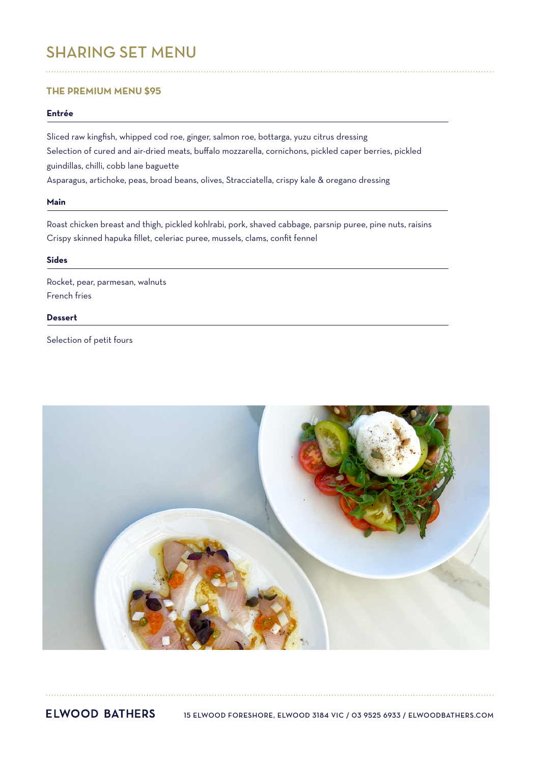# SHARING SET MENU

# **THE PREMIUM MENU \$95**

# **Entrée**

Sliced raw kingfish, whipped cod roe, ginger, salmon roe, bottarga, yuzu citrus dressing Selection of cured and air-dried meats, buffalo mozzarella, cornichons, pickled caper berries, pickled guindillas, chilli, cobb lane baguette Asparagus, artichoke, peas, broad beans, olives, Stracciatella, crispy kale & oregano dressing

#### **Main**

Roast chicken breast and thigh, pickled kohlrabi, pork, shaved cabbage, parsnip puree, pine nuts, raisins Crispy skinned hapuka fillet, celeriac puree, mussels, clams, confit fennel

### **Sides**

Rocket, pear, parmesan, walnuts French fries

# **Dessert**

Selection of petit fours



**ELWOOD BATHERS** 15 ELWOOD FORESHORE, ELWOOD 3184 VIC / 03 9525 6933 / ELWOODBATHERS.COM